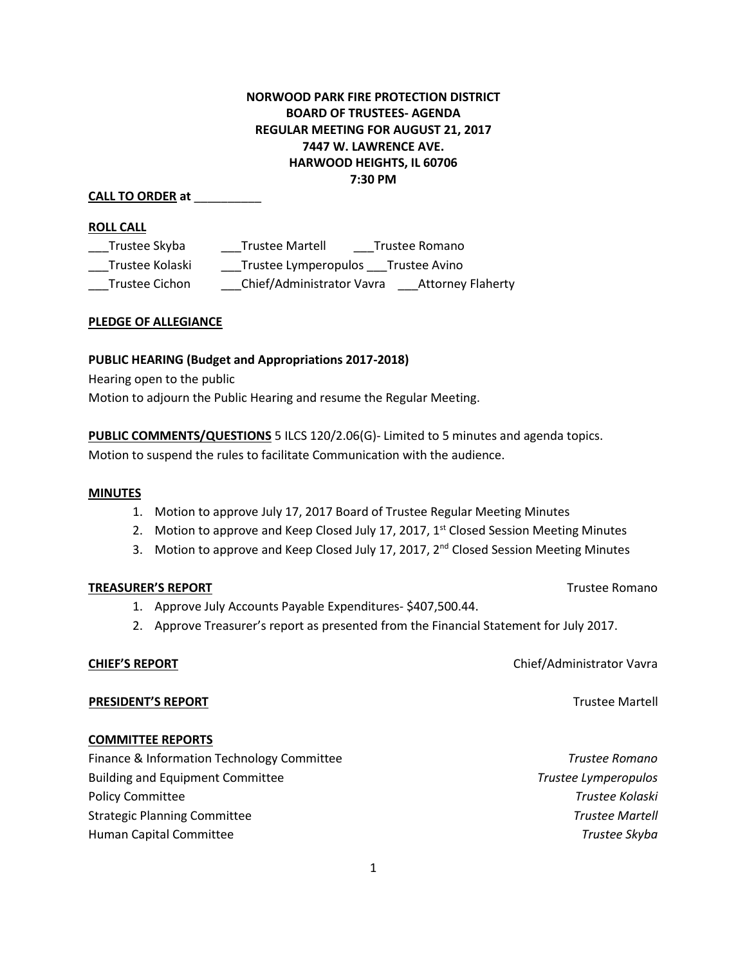# **NORWOOD PARK FIRE PROTECTION DISTRICT BOARD OF TRUSTEES- AGENDA REGULAR MEETING FOR AUGUST 21, 2017 7447 W. LAWRENCE AVE. HARWOOD HEIGHTS, IL 60706 7:30 PM**

### **CALL TO ORDER at** \_\_\_\_\_\_\_\_\_\_

#### **ROLL CALL**

| Trustee Skyba   | <b>Trustee Martell</b><br>Trustee Romano              |
|-----------------|-------------------------------------------------------|
| Trustee Kolaski | Trustee Lymperopulos<br>Trustee Avino                 |
| Trustee Cichon  | Chief/Administrator Vavra<br><b>Attorney Flaherty</b> |

#### **PLEDGE OF ALLEGIANCE**

### **PUBLIC HEARING (Budget and Appropriations 2017-2018)**

Hearing open to the public

Motion to adjourn the Public Hearing and resume the Regular Meeting.

**PUBLIC COMMENTS/QUESTIONS** 5 ILCS 120/2.06(G)- Limited to 5 minutes and agenda topics. Motion to suspend the rules to facilitate Communication with the audience.

#### **MINUTES**

- 1. Motion to approve July 17, 2017 Board of Trustee Regular Meeting Minutes
- 2. Motion to approve and Keep Closed July 17, 2017, 1<sup>st</sup> Closed Session Meeting Minutes
- 3. Motion to approve and Keep Closed July 17, 2017, 2<sup>nd</sup> Closed Session Meeting Minutes

#### **TREASURER'S REPORT** TREASURER'S REPORT

- 1. Approve July Accounts Payable Expenditures- \$407,500.44.
- 2. Approve Treasurer's report as presented from the Financial Statement for July 2017.

#### **CHIEF'S REPORT** Chief/Administrator Vavra

**PRESIDENT'S REPORT** THE RESIDENT'S REPORT

# **COMMITTEE REPORTS**

| Finance & Information Technology Committee | Trustee Romano         |
|--------------------------------------------|------------------------|
| <b>Building and Equipment Committee</b>    | Trustee Lymperopulos   |
| <b>Policy Committee</b>                    | Trustee Kolaski        |
| <b>Strategic Planning Committee</b>        | <b>Trustee Martell</b> |
| Human Capital Committee                    | Trustee Skyba          |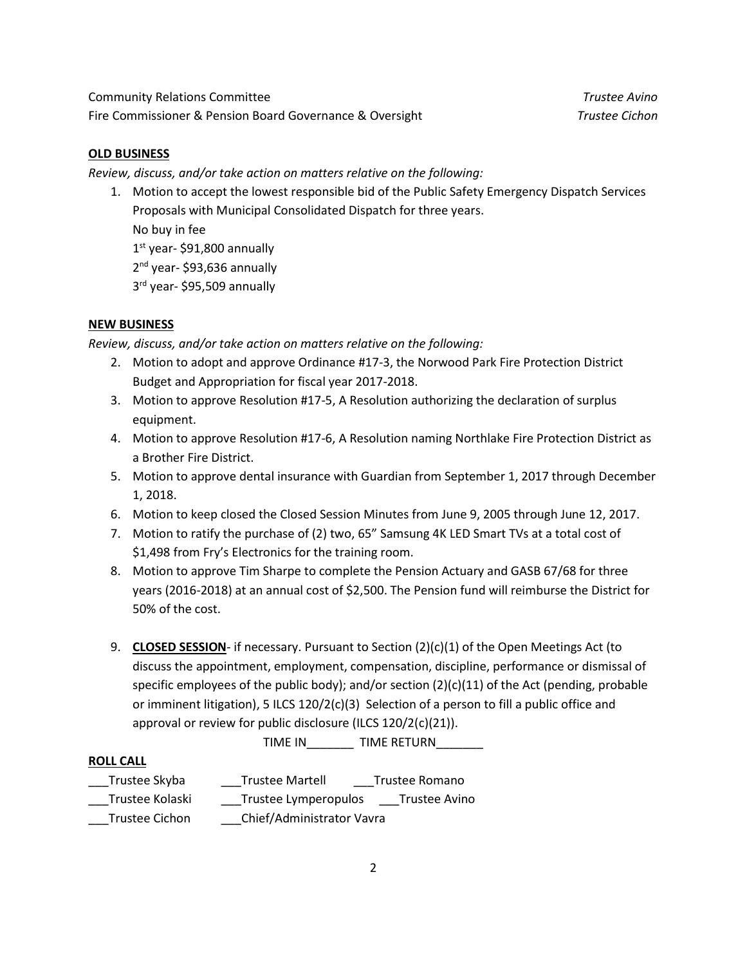Community Relations Committee *Trustee Avino*  Fire Commissioner & Pension Board Governance & Oversight *Trustee Cichon*

### **OLD BUSINESS**

*Review, discuss, and/or take action on matters relative on the following:* 

1. Motion to accept the lowest responsible bid of the Public Safety Emergency Dispatch Services Proposals with Municipal Consolidated Dispatch for three years. No buy in fee 1st year- \$91,800 annually 2<sup>nd</sup> year- \$93,636 annually 3 rd year- \$95,509 annually

### **NEW BUSINESS**

*Review, discuss, and/or take action on matters relative on the following:* 

- 2. Motion to adopt and approve Ordinance #17-3, the Norwood Park Fire Protection District Budget and Appropriation for fiscal year 2017-2018.
- 3. Motion to approve Resolution #17-5, A Resolution authorizing the declaration of surplus equipment.
- 4. Motion to approve Resolution #17-6, A Resolution naming Northlake Fire Protection District as a Brother Fire District.
- 5. Motion to approve dental insurance with Guardian from September 1, 2017 through December 1, 2018.
- 6. Motion to keep closed the Closed Session Minutes from June 9, 2005 through June 12, 2017.
- 7. Motion to ratify the purchase of (2) two, 65" Samsung 4K LED Smart TVs at a total cost of \$1,498 from Fry's Electronics for the training room.
- 8. Motion to approve Tim Sharpe to complete the Pension Actuary and GASB 67/68 for three years (2016-2018) at an annual cost of \$2,500. The Pension fund will reimburse the District for 50% of the cost.
- 9. **CLOSED SESSION** if necessary. Pursuant to Section (2)(c)(1) of the Open Meetings Act (to discuss the appointment, employment, compensation, discipline, performance or dismissal of specific employees of the public body); and/or section  $(2)(c)(11)$  of the Act (pending, probable or imminent litigation), 5 ILCS  $120/2(c)(3)$  Selection of a person to fill a public office and approval or review for public disclosure (ILCS 120/2(c)(21)).

TIME IN \_\_\_\_\_\_\_ TIME RETURN\_\_\_\_\_\_\_

#### **ROLL CALL**

| Trustee Skyba         | <b>Trustee Martell</b>    | Trustee Romano |
|-----------------------|---------------------------|----------------|
| Trustee Kolaski       | Trustee Lymperopulos      | Trustee Avino  |
| <b>Trustee Cichon</b> | Chief/Administrator Vavra |                |